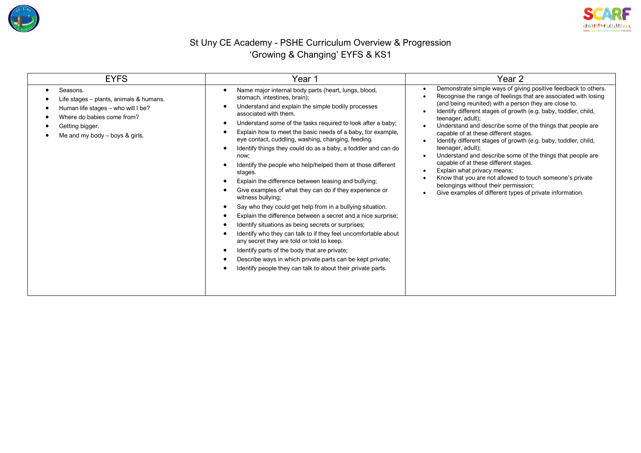



## St Uny CE Academy - PSHE Curriculum Overview & Progression 'Growing & Changing' EYFS & KS1

| <b>EYFS</b>                                                                                                                                                                    | Year 1                                                                                                                                                                                                                                                                                                                                                                                                                                                                                                                                                                                                                                                                                                                                                                                                                                                                                                                                                                                                                                                                                                                                                                                                                                   | Year 2                                                                                                                                                                                                                                                                                                                                                                                                                                                                                                                                                                                                                                                                                                                                                                                  |  |  |
|--------------------------------------------------------------------------------------------------------------------------------------------------------------------------------|------------------------------------------------------------------------------------------------------------------------------------------------------------------------------------------------------------------------------------------------------------------------------------------------------------------------------------------------------------------------------------------------------------------------------------------------------------------------------------------------------------------------------------------------------------------------------------------------------------------------------------------------------------------------------------------------------------------------------------------------------------------------------------------------------------------------------------------------------------------------------------------------------------------------------------------------------------------------------------------------------------------------------------------------------------------------------------------------------------------------------------------------------------------------------------------------------------------------------------------|-----------------------------------------------------------------------------------------------------------------------------------------------------------------------------------------------------------------------------------------------------------------------------------------------------------------------------------------------------------------------------------------------------------------------------------------------------------------------------------------------------------------------------------------------------------------------------------------------------------------------------------------------------------------------------------------------------------------------------------------------------------------------------------------|--|--|
| Seasons.<br>Life stages - plants, animals & humans.<br>Human life stages - who will I be?<br>Where do babies come from?<br>Getting bigger.<br>Me and my body $-$ boys & girls. | Name major internal body parts (heart, lungs, blood,<br>$\bullet$<br>stomach, intestines, brain);<br>Understand and explain the simple bodily processes<br>$\bullet$<br>associated with them.<br>Understand some of the tasks required to look after a baby;<br>- 0<br>Explain how to meet the basic needs of a baby, for example,<br>$\bullet$<br>eye contact, cuddling, washing, changing, feeding.<br>Identify things they could do as a baby, a toddler and can do<br>-<br>now;<br>Identify the people who help/helped them at those different<br>stages.<br>Explain the difference between teasing and bullying;<br>$\epsilon$<br>Give examples of what they can do if they experience or<br>witness bullying;<br>Say who they could get help from in a bullying situation.<br>$\bullet$<br>Explain the difference between a secret and a nice surprise;<br>Identify situations as being secrets or surprises;<br>$\bullet$<br>Identify who they can talk to if they feel uncomfortable about<br>any secret they are told or told to keep.<br>Identify parts of the body that are private;<br>$\bullet$<br>Describe ways in which private parts can be kept private;<br>Identify people they can talk to about their private parts. | Demonstrate simple ways of giving positive feedback to others.<br>Recognise the range of feelings that are associated with losing<br>(and being reunited) with a person they are close to.<br>Identify different stages of growth (e.g. baby, toddler, child,<br>teenager, adult);<br>Understand and describe some of the things that people are<br>capable of at these different stages.<br>Identify different stages of growth (e.g. baby, toddler, child,<br>teenager, adult);<br>Understand and describe some of the things that people are<br>capable of at these different stages.<br>Explain what privacy means;<br>Know that you are not allowed to touch someone's private<br>belongings without their permission;<br>Give examples of different types of private information. |  |  |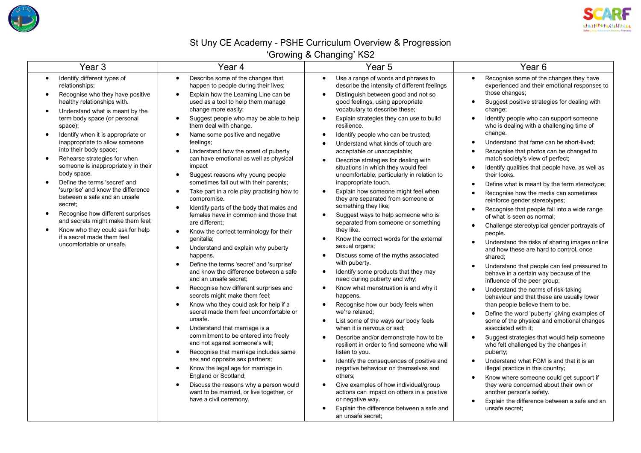



## St Uny CE Academy - PSHE Curriculum Overview & Progression

'Growing & Changing' KS2

| Identify different types of<br>Describe some of the changes that<br>Use a range of words and phrases to<br>Recognise some of the changes they have<br>$\bullet$<br>$\bullet$<br>$\bullet$<br>$\bullet$<br>relationships;<br>happen to people during their lives;<br>describe the intensity of different feelings<br>experienced and their emotional responses to<br>those changes:<br>Explain how the Learning Line can be<br>Recognise who they have positive<br>Distinguish between good and not so<br>$\bullet$<br>healthy relationships with.<br>used as a tool to help them manage<br>good feelings, using appropriate<br>Suggest positive strategies for dealing with<br>$\bullet$<br>vocabulary to describe these;<br>change more easily;<br>change;<br>Understand what is meant by the<br>$\bullet$<br>term body space (or personal<br>Suggest people who may be able to help<br>Explain strategies they can use to build<br>Identify people who can support someone<br>$\bullet$<br>$\bullet$<br>them deal with change.<br>who is dealing with a challenging time of<br>space);<br>resilience.<br>change.<br>Identify when it is appropriate or<br>Name some positive and negative<br>Identify people who can be trusted;<br>$\bullet$<br>$\bullet$<br>$\bullet$<br>inappropriate to allow someone<br>Understand that fame can be short-lived;<br>feelings;<br>$\bullet$<br>Understand what kinds of touch are<br>$\bullet$<br>into their body space;<br>Understand how the onset of puberty<br>acceptable or unacceptable;<br>Recognise that photos can be changed to<br>$\bullet$<br>$\bullet$<br>Rehearse strategies for when<br>can have emotional as well as physical<br>match society's view of perfect;<br>Describe strategies for dealing with<br>$\bullet$<br>someone is inappropriately in their<br>impact<br>situations in which they would feel<br>Identify qualities that people have, as well as<br>$\bullet$<br>body space.<br>Suggest reasons why young people<br>uncomfortable, particularly in relation to<br>their looks.<br>$\bullet$<br>Define the terms 'secret' and<br>sometimes fall out with their parents;<br>inappropriate touch.<br>$\bullet$<br>Define what is meant by the term stereotype;<br>$\bullet$<br>'surprise' and know the difference<br>Take part in a role play practising how to<br>Explain how someone might feel when<br>$\bullet$<br>$\bullet$<br>Recognise how the media can sometimes<br>$\bullet$<br>between a safe and an unsafe<br>they are separated from someone or<br>compromise.<br>reinforce gender stereotypes;<br>secret;<br>something they like;<br>Identify parts of the body that males and<br>$\bullet$<br>Recognise that people fall into a wide range<br>$\bullet$<br>Recognise how different surprises<br>females have in common and those that<br>Suggest ways to help someone who is<br>of what is seen as normal;<br>and secrets might make them feel;<br>are different:<br>separated from someone or something<br>Challenge stereotypical gender portrayals of<br>$\bullet$<br>Know who they could ask for help<br>they like.<br>$\bullet$<br>Know the correct terminology for their<br>$\bullet$<br>people.<br>if a secret made them feel<br>Know the correct words for the external<br>qenitalia;<br>Understand the risks of sharing images online<br>$\bullet$<br>uncomfortable or unsafe.<br>sexual organs;<br>Understand and explain why puberty<br>$\bullet$<br>and how these are hard to control, once<br>Discuss some of the myths associated<br>happens.<br>$\bullet$<br>shared;<br>with puberty.<br>Define the terms 'secret' and 'surprise'<br>$\bullet$<br>Understand that people can feel pressured to<br>$\bullet$<br>and know the difference between a safe<br>Identify some products that they may<br>behave in a certain way because of the<br>and an unsafe secret;<br>need during puberty and why;<br>influence of the peer group;<br>Recognise how different surprises and<br>Know what menstruation is and why it<br>$\bullet$<br>$\bullet$<br>Understand the norms of risk-taking<br>$\bullet$<br>secrets might make them feel;<br>happens.<br>behaviour and that these are usually lower<br>Know who they could ask for help if a<br>Recognise how our body feels when<br>than people believe them to be.<br>$\bullet$<br>$\bullet$<br>secret made them feel uncomfortable or<br>we're relaxed;<br>Define the word 'puberty' giving examples of<br>$\bullet$<br>unsafe.<br>List some of the ways our body feels<br>some of the physical and emotional changes<br>$\bullet$<br>Understand that marriage is a<br>when it is nervous or sad:<br>associated with it:<br>$\bullet$<br>commitment to be entered into freely<br>Describe and/or demonstrate how to be<br>Suggest strategies that would help someone<br>$\bullet$<br>and not against someone's will;<br>who felt challenged by the changes in<br>resilient in order to find someone who will<br>Recognise that marriage includes same<br>listen to you.<br>puberty;<br>$\bullet$<br>sex and opposite sex partners;<br>Understand what FGM is and that it is an<br>Identify the consequences of positive and<br>$\bullet$<br>Know the legal age for marriage in<br>negative behaviour on themselves and<br>$\bullet$<br>illegal practice in this country;<br>England or Scotland;<br>others;<br>Know where someone could get support if<br>$\bullet$<br>Discuss the reasons why a person would<br>Give examples of how individual/group<br>they were concerned about their own or<br>$\bullet$<br>$\bullet$<br>want to be married, or live together, or<br>actions can impact on others in a positive<br>another person's safety. |                        |                  |                                                           |
|----------------------------------------------------------------------------------------------------------------------------------------------------------------------------------------------------------------------------------------------------------------------------------------------------------------------------------------------------------------------------------------------------------------------------------------------------------------------------------------------------------------------------------------------------------------------------------------------------------------------------------------------------------------------------------------------------------------------------------------------------------------------------------------------------------------------------------------------------------------------------------------------------------------------------------------------------------------------------------------------------------------------------------------------------------------------------------------------------------------------------------------------------------------------------------------------------------------------------------------------------------------------------------------------------------------------------------------------------------------------------------------------------------------------------------------------------------------------------------------------------------------------------------------------------------------------------------------------------------------------------------------------------------------------------------------------------------------------------------------------------------------------------------------------------------------------------------------------------------------------------------------------------------------------------------------------------------------------------------------------------------------------------------------------------------------------------------------------------------------------------------------------------------------------------------------------------------------------------------------------------------------------------------------------------------------------------------------------------------------------------------------------------------------------------------------------------------------------------------------------------------------------------------------------------------------------------------------------------------------------------------------------------------------------------------------------------------------------------------------------------------------------------------------------------------------------------------------------------------------------------------------------------------------------------------------------------------------------------------------------------------------------------------------------------------------------------------------------------------------------------------------------------------------------------------------------------------------------------------------------------------------------------------------------------------------------------------------------------------------------------------------------------------------------------------------------------------------------------------------------------------------------------------------------------------------------------------------------------------------------------------------------------------------------------------------------------------------------------------------------------------------------------------------------------------------------------------------------------------------------------------------------------------------------------------------------------------------------------------------------------------------------------------------------------------------------------------------------------------------------------------------------------------------------------------------------------------------------------------------------------------------------------------------------------------------------------------------------------------------------------------------------------------------------------------------------------------------------------------------------------------------------------------------------------------------------------------------------------------------------------------------------------------------------------------------------------------------------------------------------------------------------------------------------------------------------------------------------------------------------------------------------------------------------------------------------------------------------------------------------------------------------------------------------------------------------------------------------------------------------------------------------------------------------------------------------------------------------------------------------------------------------------------------------------------------------------------------------------------------------------------------------------------------------------------------------------------------------------------------------------------------------------------------------------------------------------------------------------------------------------------------------------------------------------------------------|------------------------|------------------|-----------------------------------------------------------|
| Explain the difference between a safe and<br>unsafe secret;<br>an unsafe secret:                                                                                                                                                                                                                                                                                                                                                                                                                                                                                                                                                                                                                                                                                                                                                                                                                                                                                                                                                                                                                                                                                                                                                                                                                                                                                                                                                                                                                                                                                                                                                                                                                                                                                                                                                                                                                                                                                                                                                                                                                                                                                                                                                                                                                                                                                                                                                                                                                                                                                                                                                                                                                                                                                                                                                                                                                                                                                                                                                                                                                                                                                                                                                                                                                                                                                                                                                                                                                                                                                                                                                                                                                                                                                                                                                                                                                                                                                                                                                                                                                                                                                                                                                                                                                                                                                                                                                                                                                                                                                                                                                                                                                                                                                                                                                                                                                                                                                                                                                                                                                                                                                                                                                                                                                                                                                                                                                                                                                                                                                                                                                                                                             | have a civil ceremony. | or negative way. | Explain the difference between a safe and an<br>$\bullet$ |